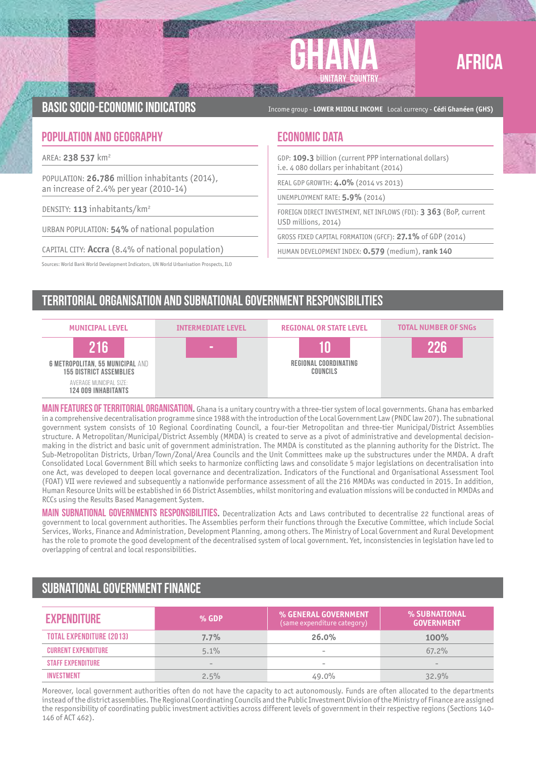

# AFRICA

BASIC SOCIO-ECONOMIC INDICATORS **Income group - LOWER MIDDLE INCOME** Local currency - Cédi Ghanéen (GHS)

### **POPULATION AND GEOGRAPHY ECONOMIC DATA**

AREA: **238 537** km2

POPULATION: **26.786** million inhabitants (2014), an increase of 2.4% per year (2010-14)

DENSITY: **113** inhabitants/km2

URBAN POPULATION: **54%** of national population

CAPITAL CITY: **Accra** (8.4% of national population)

Sources: World Bank World Development Indicators, UN World Urbanisation Prospects, ILO

GDP: **109.3** billion (current PPP international dollars) i.e. 4 080 dollars per inhabitant (2014)

REAL GDP GROWTH: **4.0%** (2014 vs 2013)

UNEMPLOYMENT RATE: **5.9%** (2014)

FOREIGN DIRECT INVESTMENT, NET INFLOWS (FDI): **3 363** (BoP, current USD millions, 2014)

GROSS FIXED CAPITAL FORMATION (GFCF): **27.1%** of GDP (2014)

HUMAN DEVELOPMENT INDEX: **0.579** (medium), **rank 140**

# Territorial organisation and subnational government responsibilities



MAIN FEATURES OF TERRITORIAL ORGANISATION. Ghana is a unitary country with a three-tier system of local governments. Ghana has embarked in a comprehensive decentralisation programme since 1988 with the introduction of the Local Government Law (PNDC law 207). The subnational government system consists of 10 Regional Coordinating Council, a four-tier Metropolitan and three-tier Municipal/District Assemblies structure. A Metropolitan/Municipal/District Assembly (MMDA) is created to serve as a pivot of administrative and developmental decisionmaking in the district and basic unit of government administration. The MMDA is constituted as the planning authority for the District. The Sub-Metropolitan Districts, Urban/Town/Zonal/Area Councils and the Unit Committees make up the substructures under the MMDA. A draft Consolidated Local Government Bill which seeks to harmonize conflicting laws and consolidate 5 major legislations on decentralisation into one Act, was developed to deepen local governance and decentralization. Indicators of the Functional and Organisational Assessment Tool (FOAT) VII were reviewed and subsequently a nationwide performance assessment of all the 216 MMDAs was conducted in 2015. In addition, Human Resource Units will be established in 66 District Assemblies, whilst monitoring and evaluation missions will be conducted in MMDAs and RCCs using the Results Based Management System.

Main subnational governments responsibilities**.** Decentralization Acts and Laws contributed to decentralise 22 functional areas of government to local government authorities. The Assemblies perform their functions through the Executive Committee, which include Social Services, Works, Finance and Administration, Development Planning, among others. The Ministry of Local Government and Rural Development has the role to promote the good development of the decentralised system of local government. Yet, inconsistencies in legislation have led to overlapping of central and local responsibilities.

## Subnational government finance

| <b>EXPENDITURE</b>         | $%$ GDP                  | % GENERAL GOVERNMENT<br>(same expenditure category) | ا SUBNATIONAL® %<br><b>GOVERNMENT</b> |
|----------------------------|--------------------------|-----------------------------------------------------|---------------------------------------|
| TOTAL EXPENDITURE (2013)   | 7.7%                     | 26.0%                                               | 100%                                  |
| <b>CURRENT EXPENDITURE</b> | 5.1%                     | $\qquad \qquad$                                     | $67.2\%$                              |
| <b>STAFF EXPENDITURE</b>   | $\overline{\phantom{a}}$ | $\qquad \qquad$                                     | $\sim$                                |
| <b>INVESTMENT</b>          | 2.5%                     | 49.0%                                               | 32.9%                                 |

Moreover, local government authorities often do not have the capacity to act autonomously. Funds are often allocated to the departments instead of the district assemblies. The Regional Coordinating Councils and the Public Investment Division of the Ministry of Finance are assigned the responsibility of coordinating public investment activities across different levels of government in their respective regions (Sections 140- 146 of ACT 462).